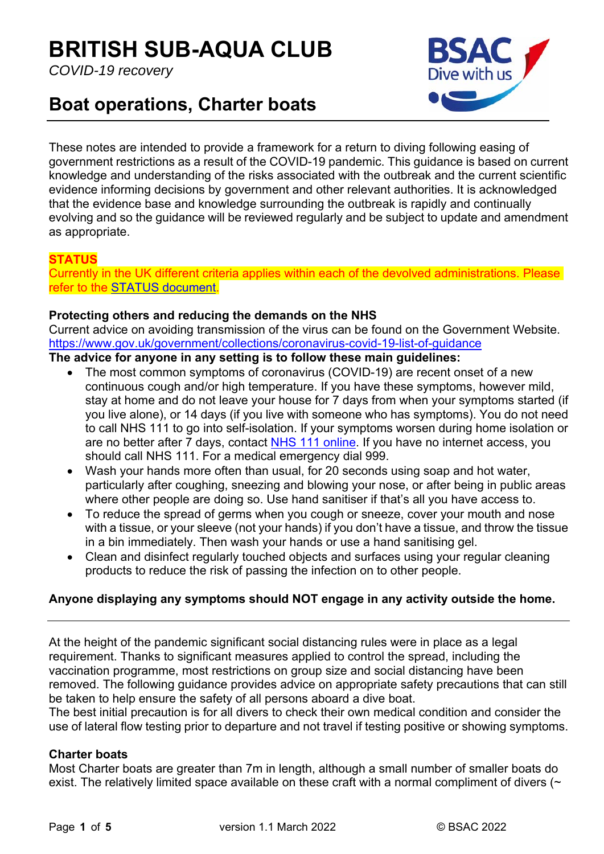# **BRITISH SUB-AQUA CLUB**

*COVID-19 recovery* 



# **Boat operations, Charter boats**

These notes are intended to provide a framework for a return to diving following easing of government restrictions as a result of the COVID-19 pandemic. This guidance is based on current knowledge and understanding of the risks associated with the outbreak and the current scientific evidence informing decisions by government and other relevant authorities. It is acknowledged that the evidence base and knowledge surrounding the outbreak is rapidly and continually evolving and so the guidance will be reviewed regularly and be subject to update and amendment as appropriate.

# **STATUS**

Currently in the UK different criteria applies within each of the devolved administrations. Please refer to the STATUS document.

# **Protecting others and reducing the demands on the NHS**

Current advice on avoiding transmission of the virus can be found on the Government Website. https://www.gov.uk/government/collections/coronavirus-covid-19-list-of-guidance

#### **The advice for anyone in any setting is to follow these main guidelines:**

- The most common symptoms of coronavirus (COVID-19) are recent onset of a new continuous cough and/or high temperature. If you have these symptoms, however mild, stay at home and do not leave your house for 7 days from when your symptoms started (if you live alone), or 14 days (if you live with someone who has symptoms). You do not need to call NHS 111 to go into self-isolation. If your symptoms worsen during home isolation or are no better after 7 days, contact NHS 111 online. If you have no internet access, you should call NHS 111. For a medical emergency dial 999.
- Wash your hands more often than usual, for 20 seconds using soap and hot water, particularly after coughing, sneezing and blowing your nose, or after being in public areas where other people are doing so. Use hand sanitiser if that's all you have access to.
- To reduce the spread of germs when you cough or sneeze, cover your mouth and nose with a tissue, or your sleeve (not your hands) if you don't have a tissue, and throw the tissue in a bin immediately. Then wash your hands or use a hand sanitising gel.
- Clean and disinfect regularly touched objects and surfaces using your regular cleaning products to reduce the risk of passing the infection on to other people.

# **Anyone displaying any symptoms should NOT engage in any activity outside the home.**

At the height of the pandemic significant social distancing rules were in place as a legal requirement. Thanks to significant measures applied to control the spread, including the vaccination programme, most restrictions on group size and social distancing have been removed. The following guidance provides advice on appropriate safety precautions that can still be taken to help ensure the safety of all persons aboard a dive boat.

The best initial precaution is for all divers to check their own medical condition and consider the use of lateral flow testing prior to departure and not travel if testing positive or showing symptoms.

# **Charter boats**

Most Charter boats are greater than 7m in length, although a small number of smaller boats do exist. The relatively limited space available on these craft with a normal compliment of divers (~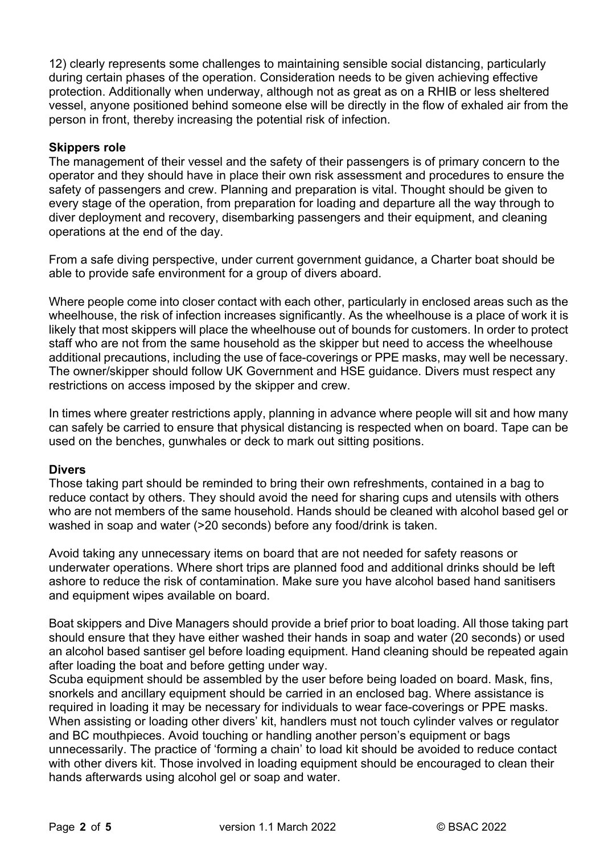12) clearly represents some challenges to maintaining sensible social distancing, particularly during certain phases of the operation. Consideration needs to be given achieving effective protection. Additionally when underway, although not as great as on a RHIB or less sheltered vessel, anyone positioned behind someone else will be directly in the flow of exhaled air from the person in front, thereby increasing the potential risk of infection.

#### **Skippers role**

The management of their vessel and the safety of their passengers is of primary concern to the operator and they should have in place their own risk assessment and procedures to ensure the safety of passengers and crew. Planning and preparation is vital. Thought should be given to every stage of the operation, from preparation for loading and departure all the way through to diver deployment and recovery, disembarking passengers and their equipment, and cleaning operations at the end of the day.

From a safe diving perspective, under current government guidance, a Charter boat should be able to provide safe environment for a group of divers aboard.

Where people come into closer contact with each other, particularly in enclosed areas such as the wheelhouse, the risk of infection increases significantly. As the wheelhouse is a place of work it is likely that most skippers will place the wheelhouse out of bounds for customers. In order to protect staff who are not from the same household as the skipper but need to access the wheelhouse additional precautions, including the use of face-coverings or PPE masks, may well be necessary. The owner/skipper should follow UK Government and HSE guidance. Divers must respect any restrictions on access imposed by the skipper and crew.

In times where greater restrictions apply, planning in advance where people will sit and how many can safely be carried to ensure that physical distancing is respected when on board. Tape can be used on the benches, gunwhales or deck to mark out sitting positions.

#### **Divers**

Those taking part should be reminded to bring their own refreshments, contained in a bag to reduce contact by others. They should avoid the need for sharing cups and utensils with others who are not members of the same household. Hands should be cleaned with alcohol based gel or washed in soap and water (>20 seconds) before any food/drink is taken.

Avoid taking any unnecessary items on board that are not needed for safety reasons or underwater operations. Where short trips are planned food and additional drinks should be left ashore to reduce the risk of contamination. Make sure you have alcohol based hand sanitisers and equipment wipes available on board.

Boat skippers and Dive Managers should provide a brief prior to boat loading. All those taking part should ensure that they have either washed their hands in soap and water (20 seconds) or used an alcohol based santiser gel before loading equipment. Hand cleaning should be repeated again after loading the boat and before getting under way.

Scuba equipment should be assembled by the user before being loaded on board. Mask, fins, snorkels and ancillary equipment should be carried in an enclosed bag. Where assistance is required in loading it may be necessary for individuals to wear face-coverings or PPE masks. When assisting or loading other divers' kit, handlers must not touch cylinder valves or regulator and BC mouthpieces. Avoid touching or handling another person's equipment or bags unnecessarily. The practice of 'forming a chain' to load kit should be avoided to reduce contact with other divers kit. Those involved in loading equipment should be encouraged to clean their hands afterwards using alcohol gel or soap and water.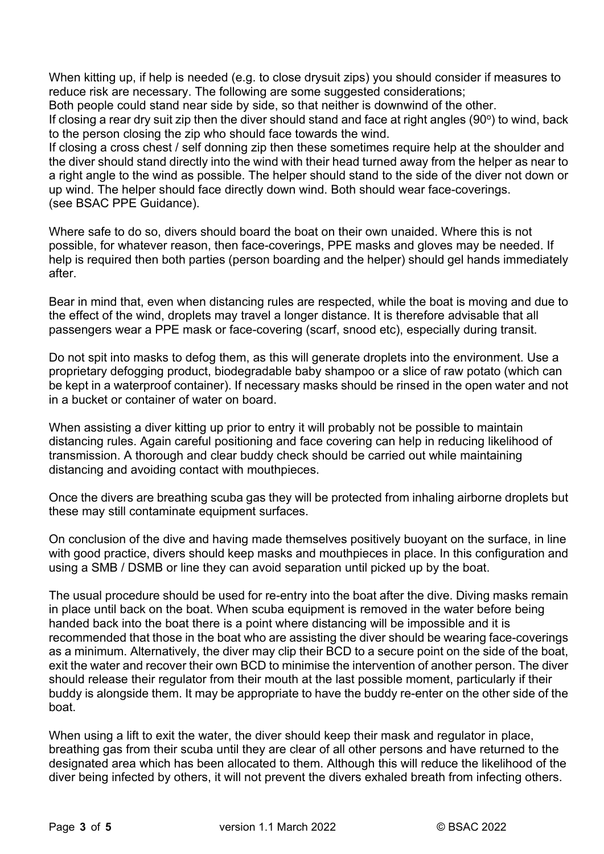When kitting up, if help is needed (e.g. to close drysuit zips) you should consider if measures to reduce risk are necessary. The following are some suggested considerations;

Both people could stand near side by side, so that neither is downwind of the other.

If closing a rear dry suit zip then the diver should stand and face at right angles (90 $^{\circ}$ ) to wind, back to the person closing the zip who should face towards the wind.

If closing a cross chest / self donning zip then these sometimes require help at the shoulder and the diver should stand directly into the wind with their head turned away from the helper as near to a right angle to the wind as possible. The helper should stand to the side of the diver not down or up wind. The helper should face directly down wind. Both should wear face-coverings. (see BSAC PPE Guidance).

Where safe to do so, divers should board the boat on their own unaided. Where this is not possible, for whatever reason, then face-coverings, PPE masks and gloves may be needed. If help is required then both parties (person boarding and the helper) should gel hands immediately after.

Bear in mind that, even when distancing rules are respected, while the boat is moving and due to the effect of the wind, droplets may travel a longer distance. It is therefore advisable that all passengers wear a PPE mask or face-covering (scarf, snood etc), especially during transit.

Do not spit into masks to defog them, as this will generate droplets into the environment. Use a proprietary defogging product, biodegradable baby shampoo or a slice of raw potato (which can be kept in a waterproof container). If necessary masks should be rinsed in the open water and not in a bucket or container of water on board.

When assisting a diver kitting up prior to entry it will probably not be possible to maintain distancing rules. Again careful positioning and face covering can help in reducing likelihood of transmission. A thorough and clear buddy check should be carried out while maintaining distancing and avoiding contact with mouthpieces.

Once the divers are breathing scuba gas they will be protected from inhaling airborne droplets but these may still contaminate equipment surfaces.

On conclusion of the dive and having made themselves positively buoyant on the surface, in line with good practice, divers should keep masks and mouthpieces in place. In this configuration and using a SMB / DSMB or line they can avoid separation until picked up by the boat.

The usual procedure should be used for re-entry into the boat after the dive. Diving masks remain in place until back on the boat. When scuba equipment is removed in the water before being handed back into the boat there is a point where distancing will be impossible and it is recommended that those in the boat who are assisting the diver should be wearing face-coverings as a minimum. Alternatively, the diver may clip their BCD to a secure point on the side of the boat, exit the water and recover their own BCD to minimise the intervention of another person. The diver should release their regulator from their mouth at the last possible moment, particularly if their buddy is alongside them. It may be appropriate to have the buddy re-enter on the other side of the boat.

When using a lift to exit the water, the diver should keep their mask and regulator in place, breathing gas from their scuba until they are clear of all other persons and have returned to the designated area which has been allocated to them. Although this will reduce the likelihood of the diver being infected by others, it will not prevent the divers exhaled breath from infecting others.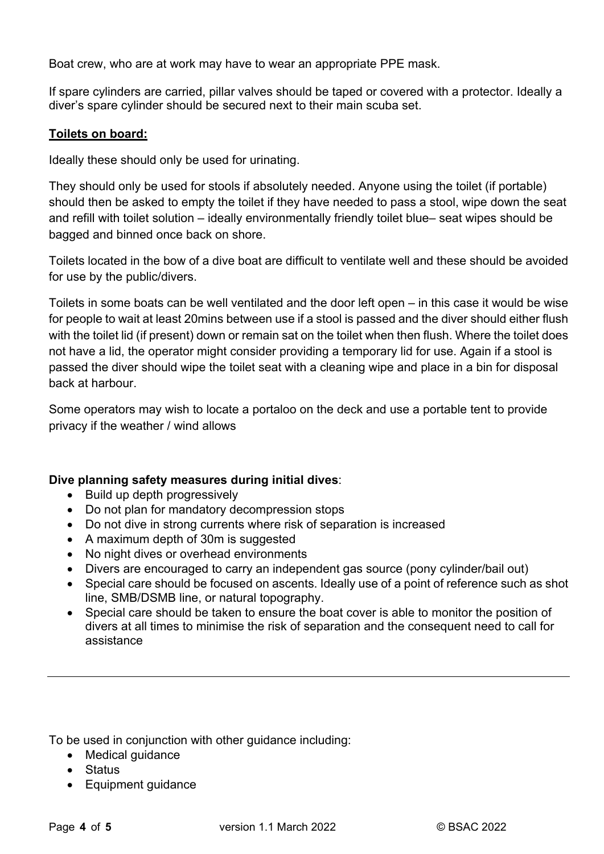Boat crew, who are at work may have to wear an appropriate PPE mask.

If spare cylinders are carried, pillar valves should be taped or covered with a protector. Ideally a diver's spare cylinder should be secured next to their main scuba set.

### **Toilets on board:**

Ideally these should only be used for urinating.

They should only be used for stools if absolutely needed. Anyone using the toilet (if portable) should then be asked to empty the toilet if they have needed to pass a stool, wipe down the seat and refill with toilet solution – ideally environmentally friendly toilet blue– seat wipes should be bagged and binned once back on shore.

Toilets located in the bow of a dive boat are difficult to ventilate well and these should be avoided for use by the public/divers.

Toilets in some boats can be well ventilated and the door left open – in this case it would be wise for people to wait at least 20mins between use if a stool is passed and the diver should either flush with the toilet lid (if present) down or remain sat on the toilet when then flush. Where the toilet does not have a lid, the operator might consider providing a temporary lid for use. Again if a stool is passed the diver should wipe the toilet seat with a cleaning wipe and place in a bin for disposal back at harbour.

Some operators may wish to locate a portaloo on the deck and use a portable tent to provide privacy if the weather / wind allows

#### **Dive planning safety measures during initial dives**:

- Build up depth progressively
- Do not plan for mandatory decompression stops
- Do not dive in strong currents where risk of separation is increased
- A maximum depth of 30m is suggested
- No night dives or overhead environments
- Divers are encouraged to carry an independent gas source (pony cylinder/bail out)
- Special care should be focused on ascents. Ideally use of a point of reference such as shot line, SMB/DSMB line, or natural topography.
- Special care should be taken to ensure the boat cover is able to monitor the position of divers at all times to minimise the risk of separation and the consequent need to call for assistance

To be used in conjunction with other guidance including:

- Medical guidance
- Status
- Equipment quidance